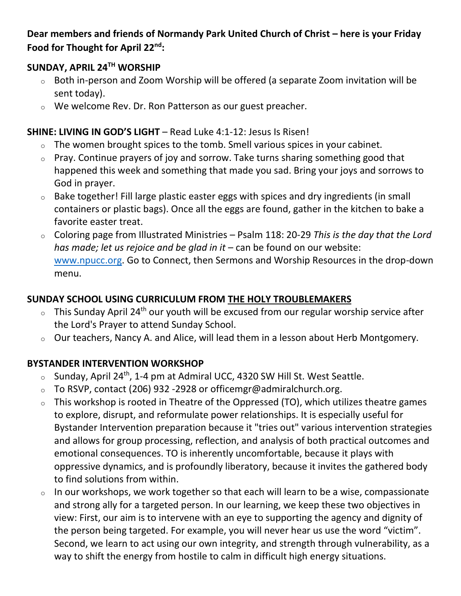### **Dear members and friends of Normandy Park United Church of Christ – here is your Friday Food for Thought for April 22nd:**

### **SUNDAY, APRIL 24TH WORSHIP**

- o Both in-person and Zoom Worship will be offered (a separate Zoom invitation will be sent today).
- o We welcome Rev. Dr. Ron Patterson as our guest preacher.

## **SHINE: LIVING IN GOD'S LIGHT** – Read Luke 4:1-12: Jesus Is Risen!

- $\circ$  The women brought spices to the tomb. Smell various spices in your cabinet.
- o Pray. Continue prayers of joy and sorrow. Take turns sharing something good that happened this week and something that made you sad. Bring your joys and sorrows to God in prayer.
- o Bake together! Fill large plastic easter eggs with spices and dry ingredients (in small containers or plastic bags). Once all the eggs are found, gather in the kitchen to bake a favorite easter treat.
- o Coloring page from Illustrated Ministries Psalm 118: 20-29 *This is the day that the Lord has made; let us rejoice and be glad in it –* can be found on our website: [www.npucc.org.](http://www.npucc.org/) Go to Connect, then Sermons and Worship Resources in the drop-down menu.

# **SUNDAY SCHOOL USING CURRICULUM FROM THE HOLY TROUBLEMAKERS**

- $\circ$  This Sunday April 24<sup>th</sup> our youth will be excused from our regular worship service after the Lord's Prayer to attend Sunday School.
- o Our teachers, Nancy A. and Alice, will lead them in a lesson about Herb Montgomery.

# **BYSTANDER INTERVENTION WORKSHOP**

- $\circ$  Sunday, April 24<sup>th</sup>, 1-4 pm at Admiral UCC, 4320 SW Hill St. West Seattle.
- o To RSVP, contact (206) 932 -2928 or officemgr@admiralchurch.org.
- $\circ$  This workshop is rooted in Theatre of the Oppressed (TO), which utilizes theatre games to explore, disrupt, and reformulate power relationships. It is especially useful for Bystander Intervention preparation because it "tries out" various intervention strategies and allows for group processing, reflection, and analysis of both practical outcomes and emotional consequences. TO is inherently uncomfortable, because it plays with oppressive dynamics, and is profoundly liberatory, because it invites the gathered body to find solutions from within.
- o In our workshops, we work together so that each will learn to be a wise, compassionate and strong ally for a targeted person. In our learning, we keep these two objectives in view: First, our aim is to intervene with an eye to supporting the agency and dignity of the person being targeted. For example, you will never hear us use the word "victim". Second, we learn to act using our own integrity, and strength through vulnerability, as a way to shift the energy from hostile to calm in difficult high energy situations.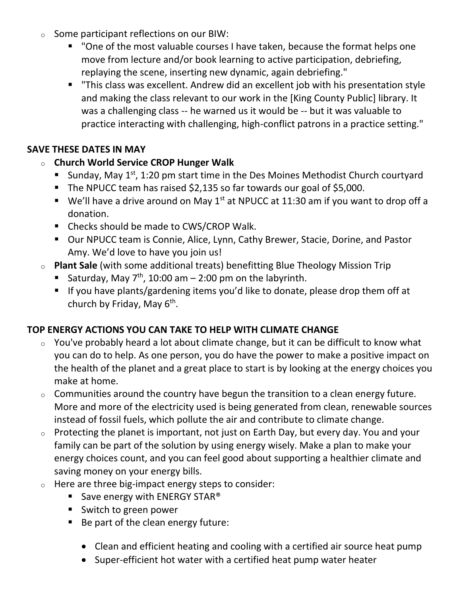- o Some participant reflections on our BIW:
	- "One of the most valuable courses I have taken, because the format helps one move from lecture and/or book learning to active participation, debriefing, replaying the scene, inserting new dynamic, again debriefing."
	- "This class was excellent. Andrew did an excellent job with his presentation style and making the class relevant to our work in the [King County Public] library. It was a challenging class -- he warned us it would be -- but it was valuable to practice interacting with challenging, high-conflict patrons in a practice setting."

## **SAVE THESE DATES IN MAY**

- o **Church World Service CROP Hunger Walk**
	- Sunday, May 1<sup>st</sup>, 1:20 pm start time in the Des Moines Methodist Church courtyard
	- The NPUCC team has raised \$2,135 so far towards our goal of \$5,000.
	- $\bullet$  We'll have a drive around on May 1st at NPUCC at 11:30 am if you want to drop off a donation.
	- Checks should be made to CWS/CROP Walk.
	- Our NPUCC team is Connie, Alice, Lynn, Cathy Brewer, Stacie, Dorine, and Pastor Amy. We'd love to have you join us!
- o **Plant Sale** (with some additional treats) benefitting Blue Theology Mission Trip
	- Saturday, May  $7<sup>th</sup>$ , 10:00 am 2:00 pm on the labyrinth.
	- If you have plants/gardening items you'd like to donate, please drop them off at church by Friday, May 6<sup>th</sup>.

# **TOP ENERGY ACTIONS YOU CAN TAKE TO HELP WITH CLIMATE CHANGE**

- $\circ$  You've probably heard a lot about climate change, but it can be difficult to know what you can do to help. As one person, you do have the power to make a positive impact on the health of the planet and a great place to start is by looking at the energy choices you make at home.
- $\circ$  Communities around the country have begun the transition to a clean energy future. More and more of the electricity used is being generated from clean, renewable sources instead of fossil fuels, which pollute the air and contribute to climate change.
- $\circ$  Protecting the planet is important, not just on Earth Day, but every day. You and your family can be part of the solution by using energy wisely. Make a plan to make your energy choices count, and you can feel good about supporting a healthier climate and saving money on your energy bills.
- o Here are three big-impact energy steps to consider:
	- **E** Save energy with ENERGY STAR<sup>®</sup>
	- Switch to green power
	- Be part of the clean energy future:
		- Clean and efficient heating and cooling with a certified air source heat pump
		- Super-efficient hot water with a certified heat pump water heater